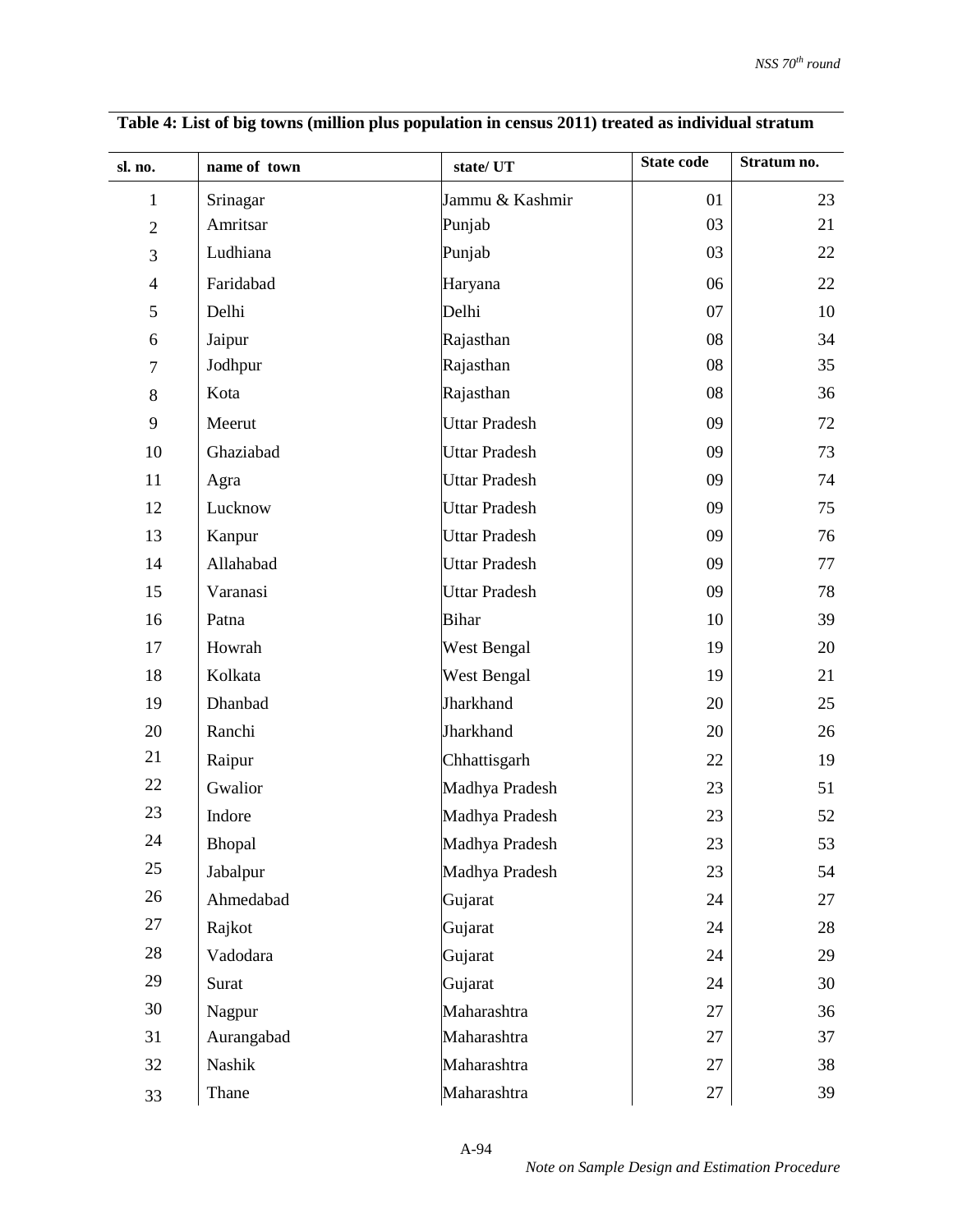| sl. no.          | name of town | state/UT             | <b>State code</b> | Stratum no. |
|------------------|--------------|----------------------|-------------------|-------------|
| $\mathbf{1}$     | Srinagar     | Jammu & Kashmir      | 01                | 23          |
| $\overline{2}$   | Amritsar     | Punjab               | 03                | 21          |
| 3                | Ludhiana     | Punjab               | 03                | 22          |
| $\overline{4}$   | Faridabad    | Haryana              | 06                | 22          |
| 5                | Delhi        | Delhi                | 07                | 10          |
| 6                | Jaipur       | Rajasthan            | 08                | 34          |
| $\boldsymbol{7}$ | Jodhpur      | Rajasthan            | 08                | 35          |
| 8                | Kota         | Rajasthan            | 08                | 36          |
| 9                | Meerut       | <b>Uttar Pradesh</b> | 09                | 72          |
| 10               | Ghaziabad    | <b>Uttar Pradesh</b> | 09                | 73          |
| 11               | Agra         | <b>Uttar Pradesh</b> | 09                | 74          |
| 12               | Lucknow      | <b>Uttar Pradesh</b> | 09                | 75          |
| 13               | Kanpur       | <b>Uttar Pradesh</b> | 09                | 76          |
| 14               | Allahabad    | <b>Uttar Pradesh</b> | 09                | 77          |
| 15               | Varanasi     | <b>Uttar Pradesh</b> | 09                | 78          |
| 16               | Patna        | <b>Bihar</b>         | 10                | 39          |
| 17               | Howrah       | West Bengal          | 19                | 20          |
| 18               | Kolkata      | <b>West Bengal</b>   | 19                | 21          |
| 19               | Dhanbad      | Jharkhand            | 20                | 25          |
| 20               | Ranchi       | Jharkhand            | 20                | 26          |
| 21               | Raipur       | Chhattisgarh         | 22                | 19          |
| 22               | Gwalior      | Madhya Pradesh       | 23                | 51          |
| 23               | Indore       | Madhya Pradesh       | 23                | 52          |
| 24               | Bhopal       | Madhya Pradesh       | 23                | 53          |
| 25               | Jabalpur     | Madhya Pradesh       | 23                | 54          |
| 26               | Ahmedabad    | Gujarat              | 24                | 27          |
| 27               | Rajkot       | Gujarat              | 24                | 28          |
| 28               | Vadodara     | Gujarat              | 24                | 29          |
| 29               | Surat        | Gujarat              | 24                | 30          |
| 30               | Nagpur       | Maharashtra          | 27                | 36          |
| 31               | Aurangabad   | Maharashtra          | 27                | 37          |
| 32               | Nashik       | Maharashtra          | 27                | 38          |
| 33               | Thane        | Maharashtra          | 27                | 39          |

**Table 4: List of big towns (million plus population in census 2011) treated as individual stratum**